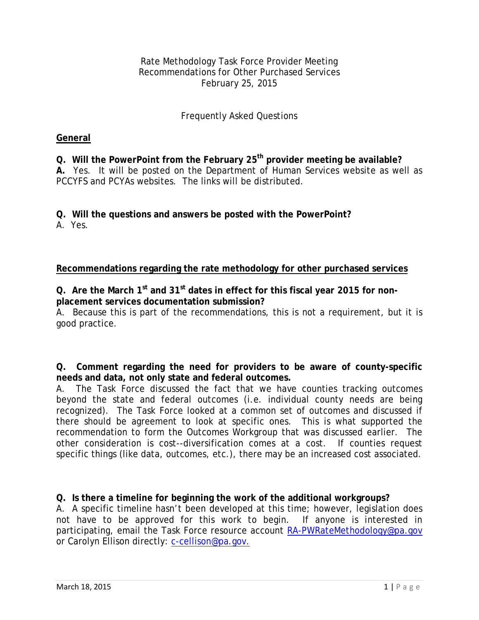Rate Methodology Task Force Provider Meeting Recommendations for Other Purchased Services February 25, 2015

# Frequently Asked Questions

#### **General**

**Q. Will the PowerPoint from the February 25th provider meeting be available? A.** Yes. It will be posted on the Department of Human Services website as well as PCCYFS and PCYAs websites. The links will be distributed.

**Q. Will the questions and answers be posted with the PowerPoint?**

A. Yes.

### **Recommendations regarding the rate methodology for other purchased services**

**Q. Are the March 1st and 31st dates in effect for this fiscal year 2015 for nonplacement services documentation submission?** 

A. Because this is part of the recommendations, this is not a requirement, but it is good practice.

**Q. Comment regarding the need for providers to be aware of county-specific needs and data, not only state and federal outcomes.**

A. The Task Force discussed the fact that we have counties tracking outcomes beyond the state and federal outcomes (i.e. individual county needs are being recognized). The Task Force looked at a common set of outcomes and discussed if there should be agreement to look at specific ones. This is what supported the recommendation to form the Outcomes Workgroup that was discussed earlier. The other consideration is cost--diversification comes at a cost. If counties request specific things (like data, outcomes, etc.), there may be an increased cost associated.

## **Q. Is there a timeline for beginning the work of the additional workgroups?**

A. A specific timeline hasn't been developed at this time; however, legislation does not have to be approved for this work to begin. If anyone is interested in participating, email the Task Force resource account [RA-PWRateMethodology@pa.gov](mailto:RA-PWRateMethodology@pa.gov) or Carolyn Ellison directly: [c-cellison@pa.gov.](mailto:c-cellison@pa.gov)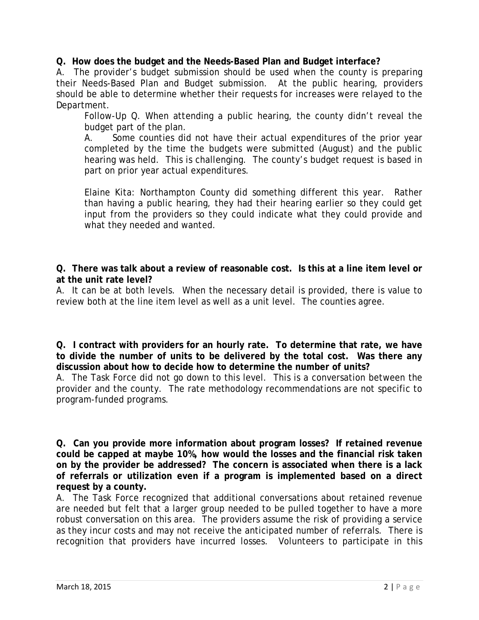**Q. How does the budget and the Needs-Based Plan and Budget interface?**

A. The provider's budget submission should be used when the county is preparing their Needs-Based Plan and Budget submission. At the public hearing, providers should be able to determine whether their requests for increases were relayed to the Department.

Follow-Up Q. When attending a public hearing, the county didn't reveal the budget part of the plan.

A. Some counties did not have their actual expenditures of the prior year completed by the time the budgets were submitted (August) and the public hearing was held. This is challenging. The county's budget request is based in part on prior year actual expenditures.

Elaine Kita: Northampton County did something different this year. Rather than having a public hearing, they had their hearing earlier so they could get input from the providers so they could indicate what they could provide and what they needed and wanted.

**Q. There was talk about a review of reasonable cost. Is this at a line item level or at the unit rate level?**

A. It can be at both levels. When the necessary detail is provided, there is value to review both at the line item level as well as a unit level. The counties agree.

**Q. I contract with providers for an hourly rate. To determine that rate, we have to divide the number of units to be delivered by the total cost. Was there any discussion about how to decide how to determine the number of units?**

A. The Task Force did not go down to this level. This is a conversation between the provider and the county. The rate methodology recommendations are not specific to program-funded programs.

**Q. Can you provide more information about program losses? If retained revenue could be capped at maybe 10%, how would the losses and the financial risk taken on by the provider be addressed? The concern is associated when there is a lack of referrals or utilization even if a program is implemented based on a direct request by a county.**

A. The Task Force recognized that additional conversations about retained revenue are needed but felt that a larger group needed to be pulled together to have a more robust conversation on this area. The providers assume the risk of providing a service as they incur costs and may not receive the anticipated number of referrals. There is recognition that providers have incurred losses. Volunteers to participate in this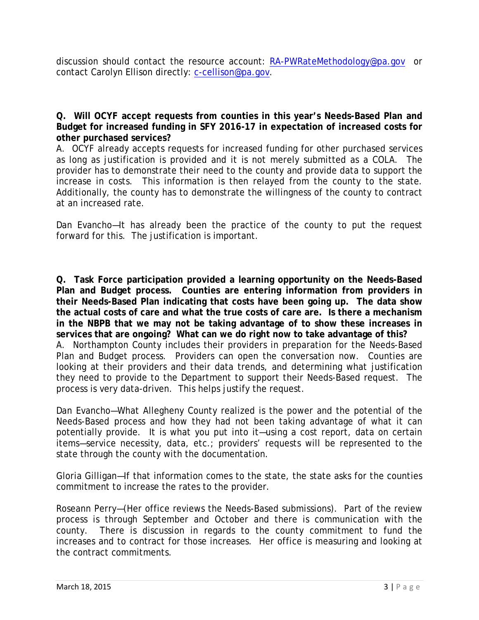discussion should contact the resource account: [RA-PWRateMethodology@pa.gov](mailto:RA-PWRateMethodology@pa.gov) or contact Carolyn Ellison directly: [c-cellison@pa.gov.](mailto:c-cellison@pa.gov)

**Q. Will OCYF accept requests from counties in this year's Needs-Based Plan and Budget for increased funding in SFY 2016-17 in expectation of increased costs for other purchased services?** 

A. OCYF already accepts requests for increased funding for other purchased services as long as justification is provided and it is not merely submitted as a COLA. The provider has to demonstrate their need to the county and provide data to support the increase in costs. This information is then relayed from the county to the state. Additionally, the county has to demonstrate the willingness of the county to contract at an increased rate.

Dan Evancho—It has already been the practice of the county to put the request forward for this. The justification is important.

**Q. Task Force participation provided a learning opportunity on the Needs-Based Plan and Budget process. Counties are entering information from providers in their Needs-Based Plan indicating that costs have been going up. The data show the actual costs of care and what the true costs of care are. Is there a mechanism in the NBPB that we may not be taking advantage of to show these increases in services that are ongoing? What can we do right now to take advantage of this?** A. Northampton County includes their providers in preparation for the Needs-Based Plan and Budget process. Providers can open the conversation now. Counties are looking at their providers and their data trends, and determining what justification they need to provide to the Department to support their Needs-Based request. The

Dan Evancho—What Allegheny County realized is the power and the potential of the Needs-Based process and how they had not been taking advantage of what it can potentially provide. It is what you put into it—using a cost report, data on certain items—service necessity, data, etc.; providers' requests will be represented to the state through the county with the documentation.

process is very data-driven. This helps justify the request.

Gloria Gilligan—If that information comes to the state, the state asks for the counties commitment to increase the rates to the provider.

Roseann Perry—(Her office reviews the Needs-Based submissions). Part of the review process is through September and October and there is communication with the county. There is discussion in regards to the county commitment to fund the increases and to contract for those increases. Her office is measuring and looking at the contract commitments.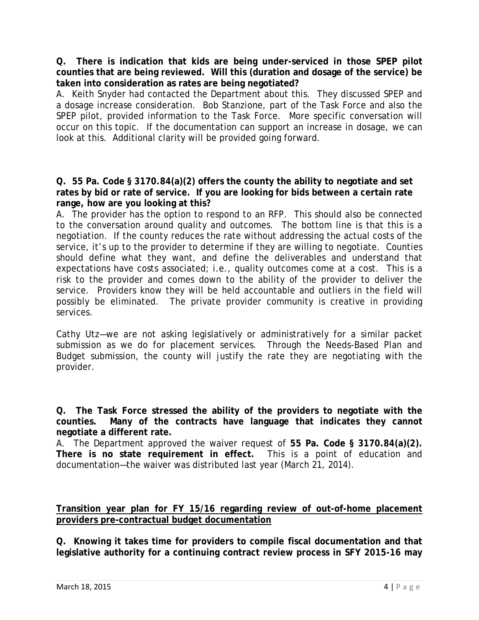**Q. There is indication that kids are being under-serviced in those SPEP pilot counties that are being reviewed. Will this (duration and dosage of the service) be taken into consideration as rates are being negotiated?**

A. Keith Snyder had contacted the Department about this. They discussed SPEP and a dosage increase consideration. Bob Stanzione, part of the Task Force and also the SPEP pilot, provided information to the Task Force. More specific conversation will occur on this topic. If the documentation can support an increase in dosage, we can look at this. Additional clarity will be provided going forward.

#### **Q. 55 Pa. Code § 3170.84(a)(2) offers the county the ability to negotiate and set rates by bid or rate of service. If you are looking for bids between a certain rate range, how are you looking at this?**

A. The provider has the option to respond to an RFP. This should also be connected to the conversation around quality and outcomes. The bottom line is that this is a negotiation. If the county reduces the rate without addressing the actual costs of the service, it's up to the provider to determine if they are willing to negotiate. Counties should define what they want, and define the deliverables and understand that expectations have costs associated; i.e., quality outcomes come at a cost. This is a risk to the provider and comes down to the ability of the provider to deliver the service. Providers know they will be held accountable and outliers in the field will possibly be eliminated. The private provider community is creative in providing services.

Cathy Utz—we are not asking legislatively or administratively for a similar packet submission as we do for placement services. Through the Needs-Based Plan and Budget submission, the county will justify the rate they are negotiating with the provider.

**Q. The Task Force stressed the ability of the providers to negotiate with the counties. Many of the contracts have language that indicates they cannot negotiate a different rate.** 

A. The Department approved the waiver request of **55 Pa. Code § 3170.84(a)(2). There is no state requirement in effect.** This is a point of education and documentation—the waiver was distributed last year (March 21, 2014).

**Transition year plan for FY 15/16 regarding review of out-of-home placement providers pre-contractual budget documentation** 

**Q. Knowing it takes time for providers to compile fiscal documentation and that legislative authority for a continuing contract review process in SFY 2015-16 may**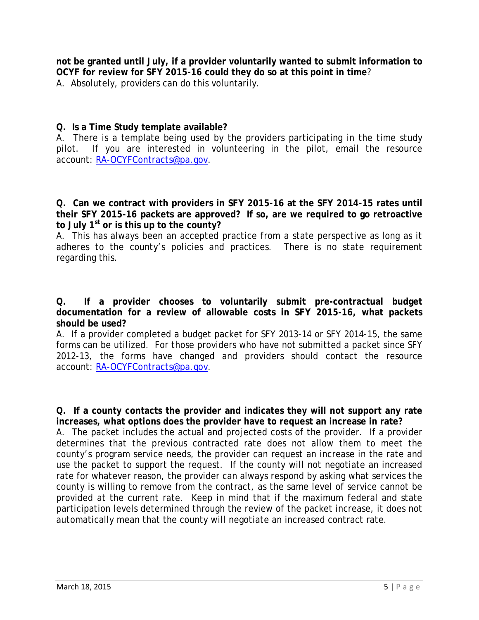**not be granted until July, if a provider voluntarily wanted to submit information to OCYF for review for SFY 2015-16 could they do so at this point in time**? A. Absolutely, providers can do this voluntarily.

## **Q. Is a Time Study template available?**

A. There is a template being used by the providers participating in the time study pilot. If you are interested in volunteering in the pilot, email the resource account: [RA-OCYFContracts@pa.gov.](mailto:RA-OCYFContracts@pa.gov)

**Q. Can we contract with providers in SFY 2015-16 at the SFY 2014-15 rates until their SFY 2015-16 packets are approved? If so, are we required to go retroactive to July 1st or is this up to the county?**

A. This has always been an accepted practice from a state perspective as long as it adheres to the county's policies and practices. There is no state requirement regarding this.

**Q. If a provider chooses to voluntarily submit pre-contractual budget documentation for a review of allowable costs in SFY 2015-16, what packets should be used?**

A. If a provider completed a budget packet for SFY 2013-14 or SFY 2014-15, the same forms can be utilized. For those providers who have not submitted a packet since SFY 2012-13, the forms have changed and providers should contact the resource account: [RA-OCYFContracts@pa.gov.](mailto:RA-OCYFContracts@pa.gov)

**Q. If a county contacts the provider and indicates they will not support any rate increases, what options does the provider have to request an increase in rate?** 

A. The packet includes the actual and projected costs of the provider. If a provider determines that the previous contracted rate does not allow them to meet the county's program service needs, the provider can request an increase in the rate and use the packet to support the request. If the county will not negotiate an increased rate for whatever reason, the provider can always respond by asking what services the county is willing to remove from the contract, as the same level of service cannot be provided at the current rate. Keep in mind that if the maximum federal and state participation levels determined through the review of the packet increase, it does not automatically mean that the county will negotiate an increased contract rate.